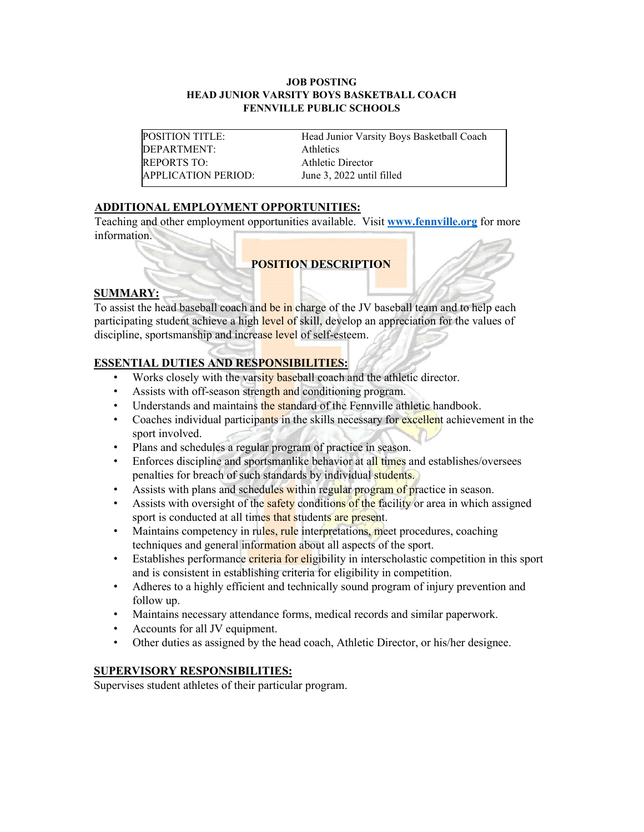#### **JOB POSTING HEAD JUNIOR VARSITY BOYS BASKETBALL COACH FENNVILLE PUBLIC SCHOOLS**

DEPARTMENT: Athletics REPORTS TO: Athletic Director APPLICATION PERIOD: June 3, 2022 until filled

POSITION TITLE: Head Junior Varsity Boys Basketball Coach

# **ADDITIONAL EMPLOYMENT OPPORTUNITIES:**

Teaching and other employment opportunities available. Visit **[www.fennville.org](https://www.fennville.org/domain/10)** for more information.

# **POSITION DESCRIPTION**

#### **SUMMARY:**

To assist the head baseball coach and be in charge of the JV baseball team and to help each participating student achieve a high level of skill, develop an appreciation for the values of discipline, sportsmanship and increase level of self-esteem.

### **ESSENTIAL DUTIES AND RESPONSIBILITIES:**

- Works closely with the varsity baseball coach and the athletic director.
- Assists with off-season strength and conditioning program.
- Understands and maintains the standard of the Fennville athletic handbook.
- Coaches individual participants in the skills necessary for excellent achievement in the sport involved.
- Plans and schedules a regular program of practice in season.
- Enforces discipline and sportsmanlike behavior at all times and establishes/oversees penalties for breach of such standards by individual students.
- Assists with plans and schedules within regular program of practice in season.
- Assists with oversight of the **safety** conditions of the facility or area in which assigned sport is conducted at all times that students are present.
- Maintains competency in rules, rule interpretations, meet procedures, coaching techniques and general information about all aspects of the sport.
- Establishes performance criteria for eligibility in interscholastic competition in this sport and is consistent in establishing criteria for eligibility in competition.
- Adheres to a highly efficient and technically sound program of injury prevention and follow up.
- Maintains necessary attendance forms, medical records and similar paperwork.
- Accounts for all JV equipment.
- Other duties as assigned by the head coach, Athletic Director, or his/her designee.

### **SUPERVISORY RESPONSIBILITIES:**

Supervises student athletes of their particular program.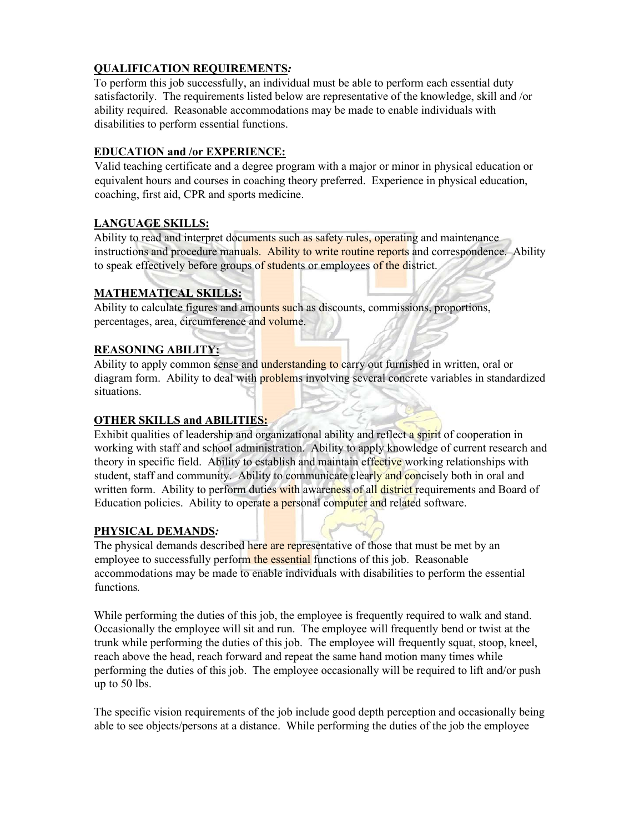## **QUALIFICATION REQUIREMENTS***:*

To perform this job successfully, an individual must be able to perform each essential duty satisfactorily. The requirements listed below are representative of the knowledge, skill and /or ability required. Reasonable accommodations may be made to enable individuals with disabilities to perform essential functions.

### **EDUCATION and /or EXPERIENCE:**

Valid teaching certificate and a degree program with a major or minor in physical education or equivalent hours and courses in coaching theory preferred. Experience in physical education, coaching, first aid, CPR and sports medicine.

## **LANGUAGE SKILLS:**

Ability to read and interpret documents such as safety rules, operating and maintenance instructions and procedure manuals. Ability to write routine reports and correspondence. Ability to speak effectively before groups of students or employees of the district.

## **MATHEMATICAL SKILLS:**

Ability to calculate figures and amounts such as discounts, commissions, proportions, percentages, area, circumference and volume.

## **REASONING ABILITY:**

Ability to apply common sense and **understanding to** carry out furnished in written, oral or diagram form. Ability to deal with problems involving several concrete variables in standardized situations.

## **OTHER SKILLS and ABILITIES:**

Exhibit qualities of leadership and organizational ability and reflect a spirit of cooperation in working with staff and school administration. Ability to apply knowledge of current research and theory in specific field. Ability to establish and maintain effective working relationships with student, staff and community. Ability to communicate clearly and concisely both in oral and written form. Ability to perform duties with awareness of all district requirements and Board of Education policies. Ability to operate a personal computer and related software.

### **PHYSICAL DEMANDS***:*

The physical demands described here are representative of those that must be met by an employee to successfully perform the essential functions of this job. Reasonable accommodations may be made to enable individuals with disabilities to perform the essential functions*.*

While performing the duties of this job, the employee is frequently required to walk and stand. Occasionally the employee will sit and run. The employee will frequently bend or twist at the trunk while performing the duties of this job. The employee will frequently squat, stoop, kneel, reach above the head, reach forward and repeat the same hand motion many times while performing the duties of this job. The employee occasionally will be required to lift and/or push up to 50 lbs.

The specific vision requirements of the job include good depth perception and occasionally being able to see objects/persons at a distance. While performing the duties of the job the employee